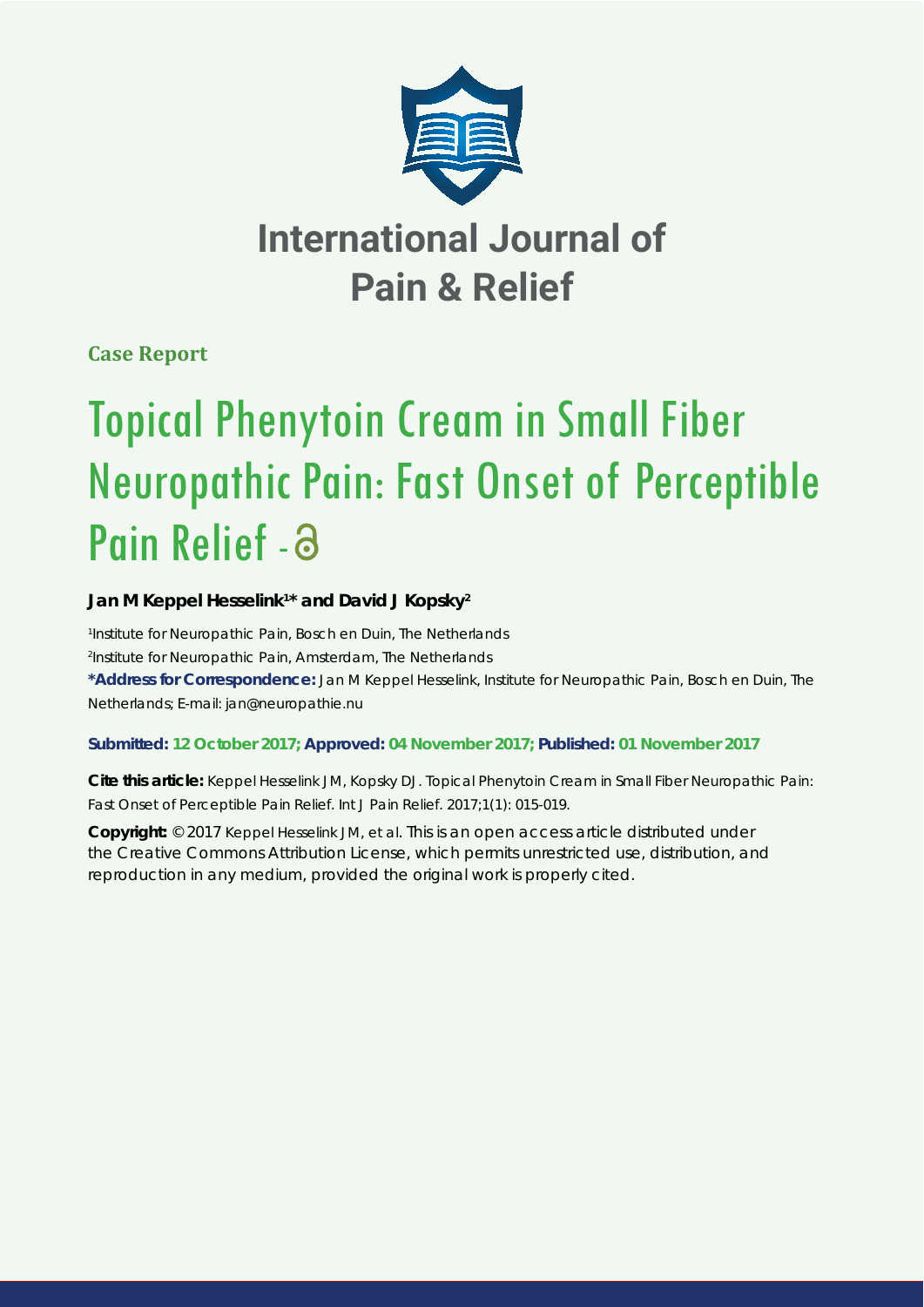

# **International Journal of Pain & Relief**

**Case Report**

# Topical Phenytoin Cream in Small Fiber Neuropathic Pain: Fast Onset of Perceptible Pain Relief - a

# Jan M Keppel Hesselink<sup>1\*</sup> and David J Kopsky<sup>2</sup>

*1 Institute for Neuropathic Pain, Bosch en Duin, The Netherlands 2 Institute for Neuropathic Pain, Amsterdam, The Netherlands* **\*Address for Correspondence:** Jan M Keppel Hesselink, Institute for Neuropathic Pain, Bosch en Duin, The Netherlands; E-mail: jan@neuropathie.nu

# **Submitted: 12 October 2017; Approved: 04 November 2017; Published: 01 November 2017**

**Cite this article:** Keppel Hesselink JM, Kopsky DJ. Topical Phenytoin Cream in Small Fiber Neuropathic Pain: Fast Onset of Perceptible Pain Relief. Int J Pain Relief. 2017;1(1): 015-019.

**Copyright:** © 2017 Keppel Hesselink JM, et al. This is an open access article distributed under the Creative Commons Attribution License, which permits unrestricted use, distribution, and reproduction in any medium, provided the original work is properly cited.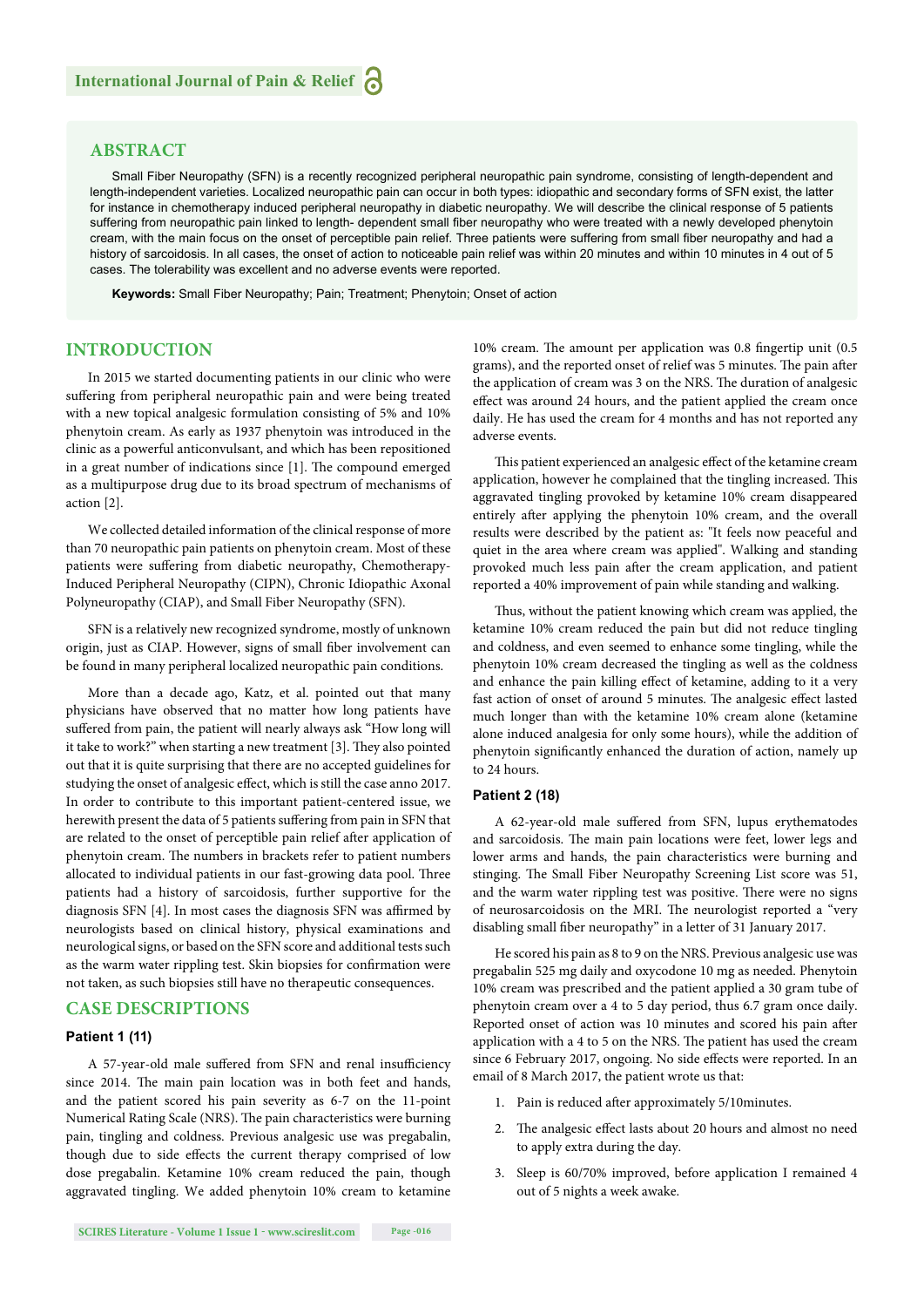# **ABSTRACT**

Small Fiber Neuropathy (SFN) is a recently recognized peripheral neuropathic pain syndrome, consisting of length-dependent and length-independent varieties. Localized neuropathic pain can occur in both types: idiopathic and secondary forms of SFN exist, the latter for instance in chemotherapy induced peripheral neuropathy in diabetic neuropathy. We will describe the clinical response of 5 patients suffering from neuropathic pain linked to length- dependent small fiber neuropathy who were treated with a newly developed phenytoin cream, with the main focus on the onset of perceptible pain relief. Three patients were suffering from small fiber neuropathy and had a history of sarcoidosis. In all cases, the onset of action to noticeable pain relief was within 20 minutes and within 10 minutes in 4 out of 5 cases. The tolerability was excellent and no adverse events were reported.

**Keywords:** Small Fiber Neuropathy; Pain; Treatment; Phenytoin; Onset of action

# **INTRODUCTION**

In 2015 we started documenting patients in our clinic who were suffering from peripheral neuropathic pain and were being treated with a new topical analgesic formulation consisting of 5% and 10% phenytoin cream. As early as 1937 phenytoin was introduced in the clinic as a powerful anticonvulsant, and which has been repositioned in a great number of indications since [1]. The compound emerged as a multipurpose drug due to its broad spectrum of mechanisms of action [2].

We collected detailed information of the clinical response of more than 70 neuropathic pain patients on phenytoin cream. Most of these patients were suffering from diabetic neuropathy, Chemotherapy-Induced Peripheral Neuropathy (CIPN), Chronic Idiopathic Axonal Polyneuropathy (CIAP), and Small Fiber Neuropathy (SFN).

SFN is a relatively new recognized syndrome, mostly of unknown origin, just as CIAP. However, signs of small fiber involvement can be found in many peripheral localized neuropathic pain conditions.

More than a decade ago, Katz, et al. pointed out that many physicians have observed that no matter how long patients have suffered from pain, the patient will nearly always ask "How long will it take to work?" when starting a new treatment [3]. They also pointed out that it is quite surprising that there are no accepted guidelines for studying the onset of analgesic effect, which is still the case anno 2017. In order to contribute to this important patient-centered issue, we herewith present the data of 5 patients suffering from pain in SFN that are related to the onset of perceptible pain relief after application of phenytoin cream. The numbers in brackets refer to patient numbers allocated to individual patients in our fast-growing data pool. Three patients had a history of sarcoidosis, further supportive for the diagnosis SFN [4]. In most cases the diagnosis SFN was affirmed by neurologists based on clinical history, physical examinations and neurological signs, or based on the SFN score and additional tests such as the warm water rippling test. Skin biopsies for confirmation were not taken, as such biopsies still have no therapeutic consequences.

# **CASE DESCRIPTIONS**

## **Patient 1 (11)**

A 57-year-old male suffered from SFN and renal insufficiency since 2014. The main pain location was in both feet and hands, and the patient scored his pain severity as 6-7 on the 11-point Numerical Rating Scale (NRS). The pain characteristics were burning pain, tingling and coldness. Previous analgesic use was pregabalin, though due to side effects the current therapy comprised of low dose pregabalin. Ketamine 10% cream reduced the pain, though aggravated tingling. We added phenytoin 10% cream to ketamine

10% cream. The amount per application was 0.8 fingertip unit (0.5 grams), and the reported onset of relief was 5 minutes. The pain after the application of cream was 3 on the NRS. The duration of analgesic effect was around 24 hours, and the patient applied the cream once daily. He has used the cream for 4 months and has not reported any adverse events.

This patient experienced an analgesic effect of the ketamine cream application, however he complained that the tingling increased. This aggravated tingling provoked by ketamine 10% cream disappeared entirely after applying the phenytoin 10% cream, and the overall results were described by the patient as: "It feels now peaceful and quiet in the area where cream was applied". Walking and standing provoked much less pain after the cream application, and patient reported a 40% improvement of pain while standing and walking.

Thus, without the patient knowing which cream was applied, the ketamine 10% cream reduced the pain but did not reduce tingling and coldness, and even seemed to enhance some tingling, while the phenytoin 10% cream decreased the tingling as well as the coldness and enhance the pain killing effect of ketamine, adding to it a very fast action of onset of around 5 minutes. The analgesic effect lasted much longer than with the ketamine 10% cream alone (ketamine alone induced analgesia for only some hours), while the addition of phenytoin significantly enhanced the duration of action, namely up to 24 hours.

#### **Patient 2 (18)**

A 62-year-old male suffered from SFN, lupus erythematodes and sarcoidosis. The main pain locations were feet, lower legs and lower arms and hands, the pain characteristics were burning and stinging. The Small Fiber Neuropathy Screening List score was 51, and the warm water rippling test was positive. There were no signs of neurosarcoidosis on the MRI. The neurologist reported a "very disabling small fiber neuropathy" in a letter of 31 January 2017.

He scored his pain as 8 to 9 on the NRS. Previous analgesic use was pregabalin 525 mg daily and oxycodone 10 mg as needed. Phenytoin 10% cream was prescribed and the patient applied a 30 gram tube of phenytoin cream over a 4 to 5 day period, thus 6.7 gram once daily. Reported onset of action was 10 minutes and scored his pain after application with a 4 to 5 on the NRS. The patient has used the cream since 6 February 2017, ongoing. No side effects were reported. In an email of 8 March 2017, the patient wrote us that:

- 1. Pain is reduced after approximately 5/10minutes.
- 2. The analgesic effect lasts about 20 hours and almost no need to apply extra during the day.
- 3. Sleep is 60/70% improved, before application I remained 4 out of 5 nights a week awake.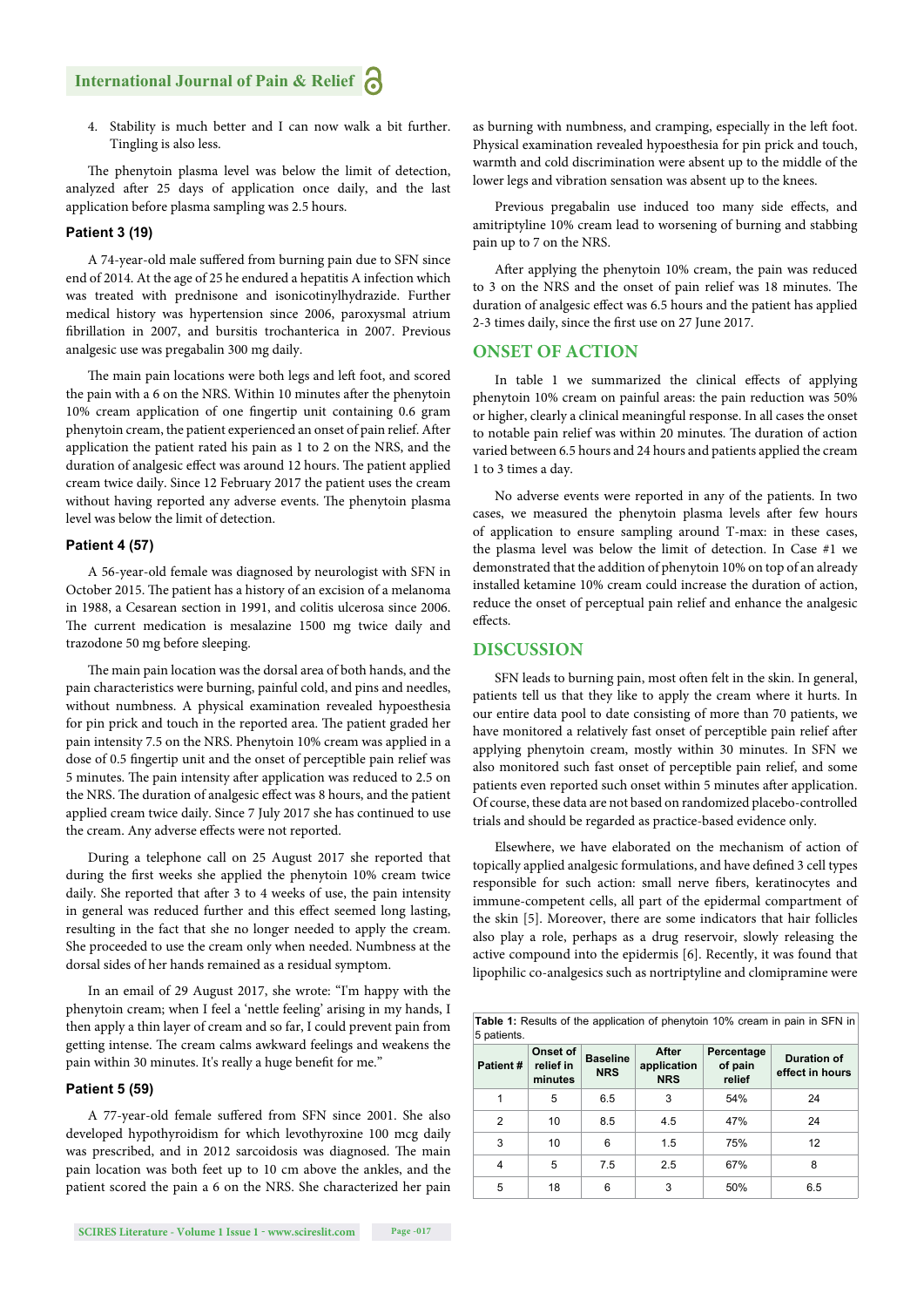# **International Journal of Pain & Relief**

4. Stability is much better and I can now walk a bit further. Tingling is also less.

The phenytoin plasma level was below the limit of detection, analyzed after 25 days of application once daily, and the last application before plasma sampling was 2.5 hours.

#### **Patient 3 (19)**

A 74-year-old male suffered from burning pain due to SFN since end of 2014. At the age of 25 he endured a hepatitis A infection which was treated with prednisone and isonicotinylhydrazide. Further medical history was hypertension since 2006, paroxysmal atrium fibrillation in 2007, and bursitis trochanterica in 2007. Previous analgesic use was pregabalin 300 mg daily.

The main pain locations were both legs and left foot, and scored the pain with a 6 on the NRS. Within 10 minutes after the phenytoin 10% cream application of one fingertip unit containing 0.6 gram phenytoin cream, the patient experienced an onset of pain relief. After application the patient rated his pain as 1 to 2 on the NRS, and the duration of analgesic effect was around 12 hours. The patient applied cream twice daily. Since 12 February 2017 the patient uses the cream without having reported any adverse events. The phenytoin plasma level was below the limit of detection.

#### **Patient 4 (57)**

A 56-year-old female was diagnosed by neurologist with SFN in October 2015. The patient has a history of an excision of a melanoma in 1988, a Cesarean section in 1991, and colitis ulcerosa since 2006. The current medication is mesalazine 1500 mg twice daily and trazodone 50 mg before sleeping.

The main pain location was the dorsal area of both hands, and the pain characteristics were burning, painful cold, and pins and needles, without numbness. A physical examination revealed hypoesthesia for pin prick and touch in the reported area. The patient graded her pain intensity 7.5 on the NRS. Phenytoin 10% cream was applied in a dose of 0.5 fingertip unit and the onset of perceptible pain relief was 5 minutes. The pain intensity after application was reduced to 2.5 on the NRS. The duration of analgesic effect was 8 hours, and the patient applied cream twice daily. Since 7 July 2017 she has continued to use the cream. Any adverse effects were not reported.

During a telephone call on 25 August 2017 she reported that during the first weeks she applied the phenytoin 10% cream twice daily. She reported that after 3 to 4 weeks of use, the pain intensity in general was reduced further and this effect seemed long lasting, resulting in the fact that she no longer needed to apply the cream. She proceeded to use the cream only when needed. Numbness at the dorsal sides of her hands remained as a residual symptom.

In an email of 29 August 2017, she wrote: "I'm happy with the phenytoin cream; when I feel a 'nettle feeling' arising in my hands, I then apply a thin layer of cream and so far, I could prevent pain from getting intense. The cream calms awkward feelings and weakens the pain within 30 minutes. It's really a huge benefit for me."

#### **Patient 5 (59)**

A 77-year-old female suffered from SFN since 2001. She also developed hypothyroidism for which levothyroxine 100 mcg daily was prescribed, and in 2012 sarcoidosis was diagnosed. The main pain location was both feet up to 10 cm above the ankles, and the patient scored the pain a 6 on the NRS. She characterized her pain as burning with numbness, and cramping, especially in the left foot. Physical examination revealed hypoesthesia for pin prick and touch, warmth and cold discrimination were absent up to the middle of the lower legs and vibration sensation was absent up to the knees.

Previous pregabalin use induced too many side effects, and amitriptyline 10% cream lead to worsening of burning and stabbing pain up to 7 on the NRS.

After applying the phenytoin 10% cream, the pain was reduced to 3 on the NRS and the onset of pain relief was 18 minutes. The duration of analgesic effect was 6.5 hours and the patient has applied 2-3 times daily, since the first use on 27 June 2017.

### **ONSET OF ACTION**

In table 1 we summarized the clinical effects of applying phenytoin 10% cream on painful areas: the pain reduction was 50% or higher, clearly a clinical meaningful response. In all cases the onset to notable pain relief was within 20 minutes. The duration of action varied between 6.5 hours and 24 hours and patients applied the cream 1 to 3 times a day.

No adverse events were reported in any of the patients. In two cases, we measured the phenytoin plasma levels after few hours of application to ensure sampling around T-max: in these cases, the plasma level was below the limit of detection. In Case #1 we demonstrated that the addition of phenytoin 10% on top of an already installed ketamine 10% cream could increase the duration of action, reduce the onset of perceptual pain relief and enhance the analgesic effects

# **DISCUSSION**

SFN leads to burning pain, most often felt in the skin. In general, patients tell us that they like to apply the cream where it hurts. In our entire data pool to date consisting of more than 70 patients, we have monitored a relatively fast onset of perceptible pain relief after applying phenytoin cream, mostly within 30 minutes. In SFN we also monitored such fast onset of perceptible pain relief, and some patients even reported such onset within 5 minutes after application. Of course, these data are not based on randomized placebo-controlled trials and should be regarded as practice-based evidence only.

Elsewhere, we have elaborated on the mechanism of action of topically applied analgesic formulations, and have defined 3 cell types responsible for such action: small nerve fibers, keratinocytes and immune-competent cells, all part of the epidermal compartment of the skin [5]. Moreover, there are some indicators that hair follicles also play a role, perhaps as a drug reservoir, slowly releasing the active compound into the epidermis [6]. Recently, it was found that lipophilic co-analgesics such as nortriptyline and clomipramine were

| 5 patients.    |                                  |                               |                                           |                                 |                                       |
|----------------|----------------------------------|-------------------------------|-------------------------------------------|---------------------------------|---------------------------------------|
| Patient#       | Onset of<br>relief in<br>minutes | <b>Baseline</b><br><b>NRS</b> | <b>After</b><br>application<br><b>NRS</b> | Percentage<br>of pain<br>relief | <b>Duration of</b><br>effect in hours |
|                | 5                                | 6.5                           | 3                                         | 54%                             | 24                                    |
| 2              | 10                               | 8.5                           | 4.5                                       | 47%                             | 24                                    |
| 3              | 10                               | 6                             | 1.5                                       | 75%                             | 12                                    |
| $\overline{4}$ | 5                                | 7.5                           | 2.5                                       | 67%                             | 8                                     |
| 5              | 18                               | 6                             | 3                                         | 50%                             | 6.5                                   |

**Table 1:** Results of the application of phenytoin 10% cream in pain in SFN in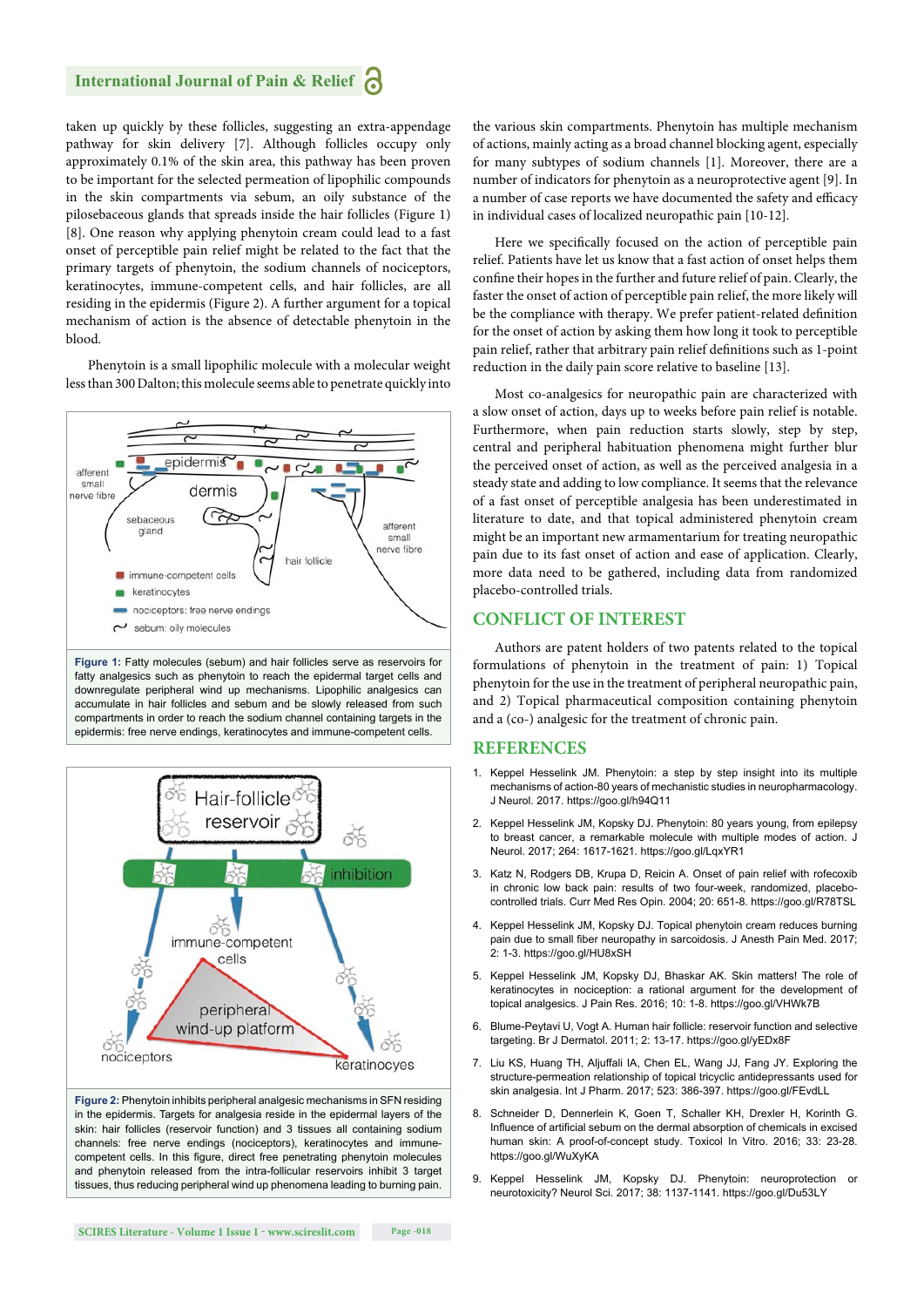taken up quickly by these follicles, suggesting an extra-appendage pathway for skin delivery [7]. Although follicles occupy only approximately 0.1% of the skin area, this pathway has been proven to be important for the selected permeation of lipophilic compounds in the skin compartments via sebum, an oily substance of the pilosebaceous glands that spreads inside the hair follicles (Figure 1) [8]. One reason why applying phenytoin cream could lead to a fast onset of perceptible pain relief might be related to the fact that the primary targets of phenytoin, the sodium channels of nociceptors, keratinocytes, immune-competent cells, and hair follicles, are all residing in the epidermis (Figure 2). A further argument for a topical mechanism of action is the absence of detectable phenytoin in the blood.

Phenytoin is a small lipophilic molecule with a molecular weight less than 300 Dalton; this molecule seems able to penetrate quickly into



**Figure 1:** Fatty molecules (sebum) and hair follicles serve as reservoirs for fatty analgesics such as phenytoin to reach the epidermal target cells and downregulate peripheral wind up mechanisms. Lipophilic analgesics can accumulate in hair follicles and sebum and be slowly released from such compartments in order to reach the sodium channel containing targets in the epidermis: free nerve endings, keratinocytes and immune-competent cells.



**Figure 2:** Phenytoin inhibits peripheral analgesic mechanisms in SFN residing in the epidermis. Targets for analgesia reside in the epidermal layers of the skin: hair follicles (reservoir function) and 3 tissues all containing sodium channels: free nerve endings (nociceptors), keratinocytes and immunecompetent cells. In this figure, direct free penetrating phenytoin molecules and phenytoin released from the intra-follicular reservoirs inhibit 3 target tissues, thus reducing peripheral wind up phenomena leading to burning pain.

the various skin compartments. Phenytoin has multiple mechanism of actions, mainly acting as a broad channel blocking agent, especially for many subtypes of sodium channels [1]. Moreover, there are a number of indicators for phenytoin as a neuroprotective agent [9]. In a number of case reports we have documented the safety and efficacy in individual cases of localized neuropathic pain [10-12].

Here we specifically focused on the action of perceptible pain relief. Patients have let us know that a fast action of onset helps them confine their hopes in the further and future relief of pain. Clearly, the faster the onset of action of perceptible pain relief, the more likely will be the compliance with therapy. We prefer patient-related definition for the onset of action by asking them how long it took to perceptible pain relief, rather that arbitrary pain relief definitions such as 1-point reduction in the daily pain score relative to baseline [13].

Most co-analgesics for neuropathic pain are characterized with a slow onset of action, days up to weeks before pain relief is notable. Furthermore, when pain reduction starts slowly, step by step, central and peripheral habituation phenomena might further blur the perceived onset of action, as well as the perceived analgesia in a steady state and adding to low compliance. It seems that the relevance of a fast onset of perceptible analgesia has been underestimated in literature to date, and that topical administered phenytoin cream might be an important new armamentarium for treating neuropathic pain due to its fast onset of action and ease of application. Clearly, more data need to be gathered, including data from randomized placebo-controlled trials.

# **CONFLICT OF INTEREST**

Authors are patent holders of two patents related to the topical formulations of phenytoin in the treatment of pain: 1) Topical phenytoin for the use in the treatment of peripheral neuropathic pain, and 2) Topical pharmaceutical composition containing phenytoin and a (co-) analgesic for the treatment of chronic pain.

#### **REFERENCES**

- 1. Keppel Hesselink JM. Phenytoin: a step by step insight into its multiple mechanisms of action-80 years of mechanistic studies in neuropharmacology. J Neurol. 2017. https://goo.gl/h94Q11
- 2. Keppel Hesselink JM, Kopsky DJ. Phenytoin: 80 years young, from epilepsy to breast cancer, a remarkable molecule with multiple modes of action. J Neurol. 2017; 264: 1617-1621. https://goo.gl/LqxYR1
- 3. Katz N, Rodgers DB, Krupa D, Reicin A. Onset of pain relief with rofecoxib in chronic low back pain: results of two four-week, randomized, placebocontrolled trials. Curr Med Res Opin. 2004; 20: 651-8. https://goo.gl/R78TSL
- 4. Keppel Hesselink JM, Kopsky DJ. Topical phenytoin cream reduces burning pain due to small fiber neuropathy in sarcoidosis. J Anesth Pain Med. 2017; 2: 1-3. https://goo.gl/HU8xSH
- 5. Keppel Hesselink JM, Kopsky DJ, Bhaskar AK. Skin matters! The role of keratinocytes in nociception: a rational argument for the development of topical analgesics. J Pain Res. 2016; 10: 1-8. https://goo.gl/VHWk7B
- 6. Blume-Peytavi U, Vogt A. Human hair follicle: reservoir function and selective targeting. Br J Dermatol. 2011; 2: 13-17. https://goo.gl/yEDx8F
- 7. Liu KS, Huang TH, Aljuffali IA, Chen EL, Wang JJ, Fang JY. Exploring the structure-permeation relationship of topical tricyclic antidepressants used for skin analgesia. Int J Pharm. 2017; 523: 386-397. https://goo.gl/FEvdLL
- 8. Schneider D, Dennerlein K, Goen T, Schaller KH, Drexler H, Korinth G. Influence of artificial sebum on the dermal absorption of chemicals in excised human skin: A proof-of-concept study. Toxicol In Vitro. 2016; 33: 23-28. https://goo.gl/WuXyKA
- 9. Keppel Hesselink JM, Kopsky DJ. Phenytoin: neuroprotection or neurotoxicity? Neurol Sci. 2017; 38: 1137-1141. https://goo.gl/Du53LY